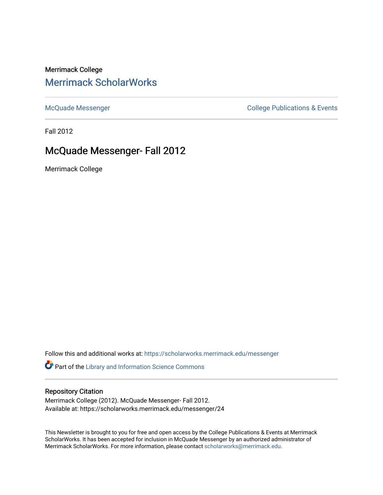Merrimack College [Merrimack ScholarWorks](https://scholarworks.merrimack.edu/) 

[McQuade Messenger](https://scholarworks.merrimack.edu/messenger) College Publications & Events

Fall 2012

# McQuade Messenger- Fall 2012

Merrimack College

Follow this and additional works at: [https://scholarworks.merrimack.edu/messenger](https://scholarworks.merrimack.edu/messenger?utm_source=scholarworks.merrimack.edu%2Fmessenger%2F24&utm_medium=PDF&utm_campaign=PDFCoverPages) 

Part of the [Library and Information Science Commons](http://network.bepress.com/hgg/discipline/1018?utm_source=scholarworks.merrimack.edu%2Fmessenger%2F24&utm_medium=PDF&utm_campaign=PDFCoverPages) 

## Repository Citation

Merrimack College (2012). McQuade Messenger- Fall 2012. Available at: https://scholarworks.merrimack.edu/messenger/24

This Newsletter is brought to you for free and open access by the College Publications & Events at Merrimack ScholarWorks. It has been accepted for inclusion in McQuade Messenger by an authorized administrator of Merrimack ScholarWorks. For more information, please contact [scholarworks@merrimack.edu](mailto:scholarworks@merrimack.edu).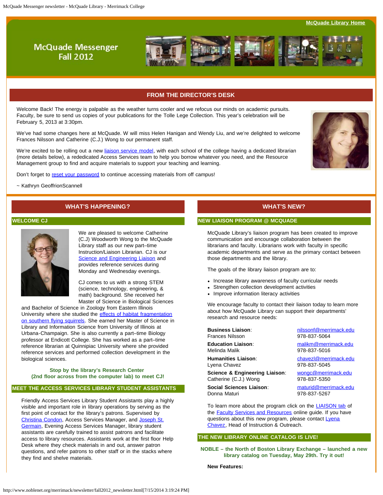**[McQuade Library Home](http://www.merrimack.edu/library)** 

## **McQuade Messenger Fall 2012**



## **FROM THE DIRECTOR'S DESK**

<span id="page-1-0"></span>Welcome Back! The energy is palpable as the weather turns cooler and we refocus our minds on academic pursuits. Faculty, be sure to send us copies of your publications for the Tolle Lege Collection. This year's celebration will be February 5, 2013 at 3:30pm.

We've had some changes here at McQuade. W will miss Helen Hanigan and Wendy Liu, and we're delighted to welcome Frances Nilsson and Catherine (C.J.) Wong to our permanent staff.

We're excited to be rolling out a new [liaison service model,](http://libguides.merrimack.edu/content.php?pid=120843&sid=3087257) with each school of the college having a dedicated librarian (more details below), a rededicated Access Services team to help you borrow whatever you need, and the Resource Management group to find and acquire materials to support your teaching and learning.



Don't forget to [reset your password](https://evergreen.noblenet.org/eg/opac/password_reset) to continue accessing materials from off campus!

~ Kathryn GeoffrionScannell

## **WHAT'S HAPPENING?**

## **WELCOME CJ**



We are pleased to welcome Catherine (C.J) Woodworth Wong to the McQuade Library staff as our new part–time Instruction/Liaison Librarian. CJ is our [Science and Engineering Liaison](http://libguides.merrimack.edu/content.php?pid=120843&sid=3087257) and provides reference services during Monday and Wednesday evenings.

CJ comes to us with a strong STEM (science, technology, engineering, & math) background. She received her Master of Science in Biological Sciences

and Bachelor of Science in Zoology from Eastern Illinois University where she studied the [effects of habitat fragmentation](http://www.phisigmasociety.org/WebSiteNew/PDF/Wong-C-FlyingSquirrel.pdf) [on southern flying squirrels](http://www.phisigmasociety.org/WebSiteNew/PDF/Wong-C-FlyingSquirrel.pdf)</u>. She earned her Master of Science in Library and Information Science from University of Illinois at Urbana-Champaign. She is also currently a part–time Biology professor at Endicott College. She has worked as a part–time reference librarian at Quinnipiac University where she provided reference services and performed collection development in the biological sciences.

#### **Stop by the library's Research Center (2nd floor across from the computer lab) to meet CJ!**

## **MEET THE ACCESS SERVICES LIBRARY STUDENT ASSISTANTS**

Friendly Access Services Library Student Assistants play a highly visible and important role in library operations by serving as the first point of contact for the library's patrons. Supervised by [Christina Condon](mailto:condonc@merrimack.edu), Access Services Manager, and [Joseph St.](http://www.noblenet.org/merrimack/newsletter/mailtostgermainj@merrimack.edu) [Germain](http://www.noblenet.org/merrimack/newsletter/mailtostgermainj@merrimack.edu), Evening Access Services Manager, library student assistants are carefully trained to assist patrons and facilitate access to library resources. Assistants work at the first floor Help Desk where they check materials in and out, answer patron questions, and refer patrons to other staff or in the stacks where they find and shelve materials.

## **WHAT'S NEW?**

## **NEW LIAISON PROGRAM @ MCQUADE**

McQuade Library's liaison program has been created to improve communication and encourage collaboration between the librarians and faculty. Librarians work with faculty in specific academic departments and serve as the primary contact between those departments and the library.

The goals of the library liaison program are to:

- Increase library awareness of faculty curricular needs
- Strengthen collection development activities
- Improve information literacy activities

We encourage faculty to contact their liaison today to learn more about how McQuade Library can support their departments' research and resource needs:

| <b>Business Liaison:</b>       | nilssonf@merrimack.edu |
|--------------------------------|------------------------|
| <b>Frances Nilsson</b>         | 978-837-5064           |
| <b>Education Liaison:</b>      | malikm@merrimack.edu   |
| Melinda Malik                  | 978-837-5016           |
| <b>Humanities Liaison:</b>     | chavezl@merrimack.edu  |
| Lyena Chavez                   | 978-837-5045           |
| Science & Engineering Liaison: | wongc@merrimack.edu    |
| Catherine (C.J.) Wong          | 978-837-5350           |
| Social Sciences Liaison:       | maturid@merrimack.edu  |
| Donna Maturi                   | 978-837-5267           |

To learn more about the program click on the **LIAISON tab** of the **Faculty Services and Resources** online guide. If you have questions about this new program, please contact [Lyena](mailto:chavezl@merrimack.edu) [Chavez,](mailto:chavezl@merrimack.edu) Head of Instruction & Outreach.

## **THE NEW LIBRARY ONLINE CATALOG IS LIVE!**

**NOBLE – the North of Boston Library Exchange – launched a new library catalog on Tuesday, May 29th. Try it out!**

**New Features:**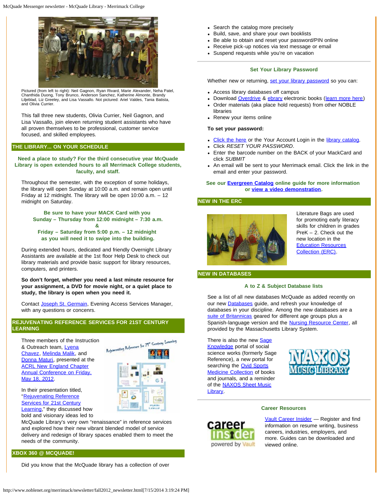

Pictured (from left to right): Neil Gagnon, Ryan Rivard, Marie Alexander, Neha Patel, Chanthida Duong, Tony Brunco, Anderson Sanchez, Katherine Almonte, Brandy Liljeblad, Liz Greeley, and Lisa Vassallo. Not pictured: Ariel Valdes, Tania Batista, and Olivia Currier.

This fall three new students, Olivia Currier, Neil Gagnon, and Lisa Vassallo, join eleven returning student assistants who have all proven themselves to be professional, customer service focused, and skilled employees.

## **THE LIBRARY... ON YOUR SCHEDULE**

**Need a place to study? For the third consecutive year McQuade Library is open extended hours to all Merrimack College students, faculty, and staff.**

Throughout the semester, with the exception of some holidays, the library will open Sunday at 10:00 a.m. and remain open until Friday at 12 midnight. The library will be open 10:00 a.m. – 12 midnight on Saturday.

**Be sure to have your MACK Card with you Sunday – Thursday from 12:00 midnight – 7:30 a.m. &** 

**Friday – Saturday from 5:00 p.m. – 12 midnight as you will need it to swipe into the building.**

During extended hours, dedicated and friendly Overnight Library Assistants are available at the 1st floor Help Desk to check out library materials and provide basic support for library resources, computers, and printers.

**So don't forget, whether you need a last minute resource for your assignment, a DVD for movie night, or a quiet place to study, the library is open when you need it.**

Contact [Joseph St. Germain,](mailto:stgermainj@merrimack.edu) Evening Access Services Manager, with any questions or concenrs.

## **REJUVENATING REFERENCE SERVICES FOR 21ST CENTURY LEARNING**

Three members of the Instruction & Outreach team, [Lyena](http://libguides.merrimack.edu/profile.php?uid=15706) [Chavez,](http://libguides.merrimack.edu/profile.php?uid=15706) [Melinda Malik,](http://libguides.merrimack.edu/profile.php?uid=19335) and [Donna Maturi](http://libguides.merrimack.edu/profile.php?uid=15707), presented at the **[ACRL New England Chapter](http://www.acrlnec.org/)** [Annual Conference on Friday,](http://conference2012.acrlnec.org/) [May 18, 2012.](http://conference2012.acrlnec.org/)



In their presentation titled, ["Rejuvenating Reference](http://libguides.merrimack.edu/rejuvenatingreference) **[Services for 21st Century](http://libguides.merrimack.edu/rejuvenatingreference)** 

[Learning,](http://libguides.merrimack.edu/rejuvenatingreference)" they discussed how bold and visionary ideas led to

McQuade Library's very own "renaissance" in reference services and explored how their new vibrant blended model of service delivery and redesign of library spaces enabled them to meet the needs of the community.

## **XBOX 360 @ MCQUADE!**

Did you know that the McQuade library has a collection of over

- Search the catalog more precisely
- Build, save, and share your own booklists
- Be able to obtain and reset your password/PIN online
- Receive pick-up notices via text message or email
- Suspend requests while you're on vacation

## **Set Your Library Password**

Whether new or returning, [set your library password](http://evergreen.noblenet.org/eg/opac/myopac/main) so you can:

- Access library databases off campus
- Download [Overdrive](http://overdrive.noblenet.org/) & [ebrary](http://proxy3.noblenet.org/login?url=http://site.ebrary.com/lib/merrimack/) electronic books ([learn more here\)](http://libguides.merrimack.edu/ebooks)
- Order materials (aka place hold requests) from other NOBLE libraries
- Renew your items online

## **To set your password:**

- [Click the here](http://evergreen.noblenet.org/eg/opac/myopac/main) or the Your Account Login in the [library catalog](http://evergreen.noblenet.org/eg/opac/home?locg=30).
- Click *RESET YOUR PASSWORD*.
- Enter the barcode number on the BACK of your MackCard and click *SUBMIT*
- An email will be sent to your Merrimack email. Click the link in the email and enter your password.

## **See our [Evergreen Catalog](http://libguides.merrimack.edu/evergreen) online guide for more information or [view a video demonstration.](http://www.youtube.com/watch?v=PDi38aMb8z8&feature=player_embedded)**

#### **NEW IN THE ERC**



Literature Bags are used for promoting early literacy skills for children in grades PreK – 2. Check out the new location in the [Education Resources](http://server1.noblenet.org/merrimack/blog2/) [Collection \(ERC\)](http://server1.noblenet.org/merrimack/blog2/).

## **NEW IN DATABASES**

#### **A to Z & Subject Database lists**

See a list of all new databases McQuade as added recently on our new [Databases](http://libguides.merrimack.edu/resources) guide, and refresh your knowledge of databases in your discipline. Among the new databases are a [suite of Britannicas](http://libguides.merrimack.edu/content.php?pid=209570&sid=2862086) geared for different age groups plus a Spanish-language version and the **Nursing Resource Center**, all provided by the Massachusetts Library System.

There is also the new **Sage** [Knowledge](http://proxy3.noblenet.org/login?url=http://knowledge.sagepub.com/) portal of social science works (formerly Sage Reference), a new portal for searching the **Ovid Sports** [Medicine Collection](http://proxy3.noblenet.org/login?url=http://ovidsp.ovid.com/autologin.html) of books and journals, and a reminder of the **NAXOS** Sheet Music [Library.](http://proxy3.noblenet.org/login?url=http://www.SheetMusicLib.com)





#### **Career Resources**

[Vault Career Insider](http://proxy3.noblenet.org/login?url=http://careerinsider.vault.com/wps/portal/careerinsider?parrefer=7443) — Register and find information on resume writing, business careers, industries, employers, and more. Guides can be downloaded and viewed online.